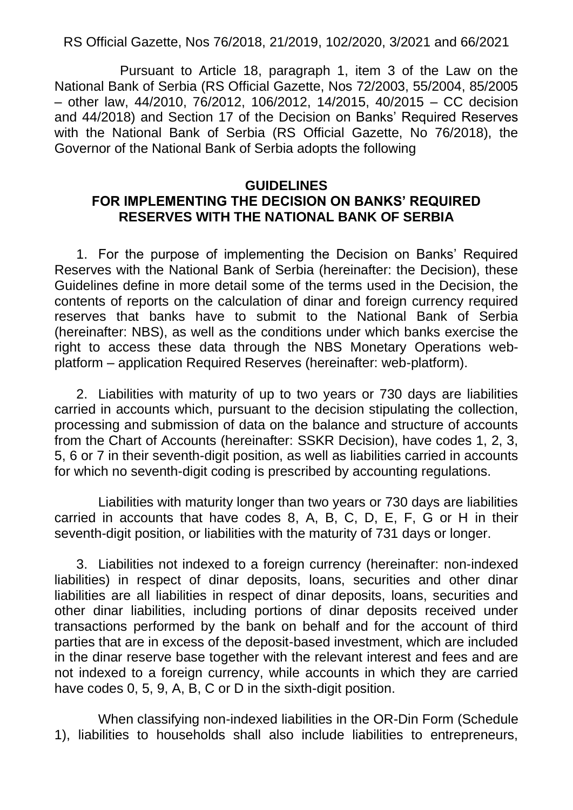RS Official Gazette, Nos 76/2018, 21/2019, 102/2020, 3/2021 and 66/2021

Pursuant to Article 18, paragraph 1, item 3 of the Law on the National Bank of Serbia (RS Official Gazette, Nos 72/2003, 55/2004, 85/2005 – other law, 44/2010, 76/2012, 106/2012, 14/2015, 40/2015 – CC decision and 44/2018) and Section 17 of the Decision on Banks' Required Reserves with the National Bank of Serbia (RS Official Gazette, No 76/2018), the Governor of the National Bank of Serbia adopts the following

## **GUIDELINES FOR IMPLEMENTING THE DECISION ON BANKS' REQUIRED RESERVES WITH THE NATIONAL BANK OF SERBIA**

1. For the purpose of implementing the Decision on Banks' Required Reserves with the National Bank of Serbia (hereinafter: the Decision), these Guidelines define in more detail some of the terms used in the Decision, the contents of reports on the calculation of dinar and foreign currency required reserves that banks have to submit to the National Bank of Serbia (hereinafter: NBS), as well as the conditions under which banks exercise the right to access these data through the NBS Monetary Operations webplatform – application Required Reserves (hereinafter: web-platform).

2. Liabilities with maturity of up to two years or 730 days are liabilities carried in accounts which, pursuant to the decision stipulating the collection, processing and submission of data on the balance and structure of accounts from the Chart of Accounts (hereinafter: SSKR Decision), have codes 1, 2, 3, 5, 6 or 7 in their seventh-digit position, as well as liabilities carried in accounts for which no seventh-digit coding is prescribed by accounting regulations.

Liabilities with maturity longer than two years or 730 days are liabilities carried in accounts that have codes 8, A, B, C, D, E, F, G or H in their seventh-digit position, or liabilities with the maturity of 731 days or longer.

3. Liabilities not indexed to a foreign currency (hereinafter: non-indexed liabilities) in respect of dinar deposits, loans, securities and other dinar liabilities are all liabilities in respect of dinar deposits, loans, securities and other dinar liabilities, including portions of dinar deposits received under transactions performed by the bank on behalf and for the account of third parties that are in excess of the deposit-based investment, which are included in the dinar reserve base together with the relevant interest and fees and are not indexed to a foreign currency, while accounts in which they are carried have codes 0, 5, 9, A, B, C or D in the sixth-digit position.

When classifying non-indexed liabilities in the OR-Din Form (Schedule 1), liabilities to households shall also include liabilities to entrepreneurs,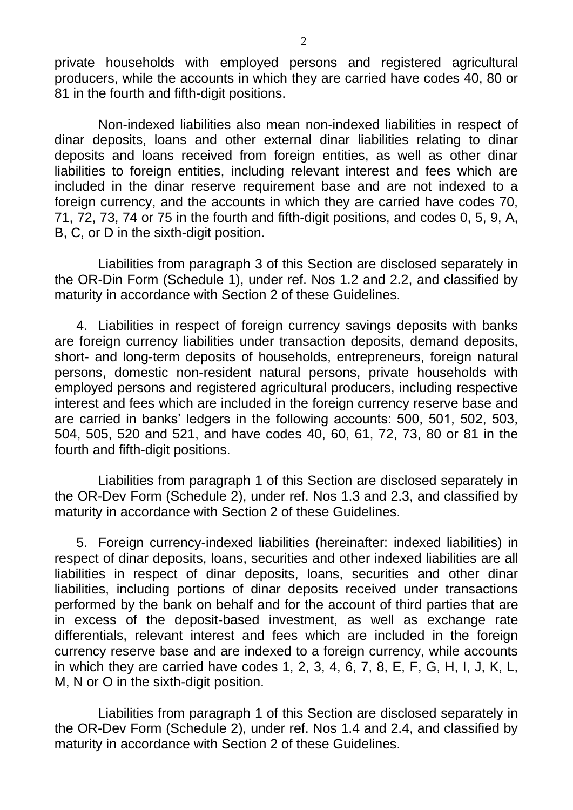private households with employed persons and registered agricultural producers, while the accounts in which they are carried have codes 40, 80 or 81 in the fourth and fifth-digit positions.

Non-indexed liabilities also mean non-indexed liabilities in respect of dinar deposits, loans and other external dinar liabilities relating to dinar deposits and loans received from foreign entities, as well as other dinar liabilities to foreign entities, including relevant interest and fees which are included in the dinar reserve requirement base and are not indexed to a foreign currency, and the accounts in which they are carried have codes 70, 71, 72, 73, 74 or 75 in the fourth and fifth-digit positions, and codes 0, 5, 9, A, B, C, or D in the sixth-digit position.

Liabilities from paragraph 3 of this Section are disclosed separately in the OR-Din Form (Schedule 1), under ref. Nos 1.2 and 2.2, and classified by maturity in accordance with Section 2 of these Guidelines.

4. Liabilities in respect of foreign currency savings deposits with banks are foreign currency liabilities under transaction deposits, demand deposits, short- and long-term deposits of households, entrepreneurs, foreign natural persons, domestic non-resident natural persons, private households with employed persons and registered agricultural producers, including respective interest and fees which are included in the foreign currency reserve base and are carried in banks' ledgers in the following accounts: 500, 501, 502, 503, 504, 505, 520 and 521, and have codes 40, 60, 61, 72, 73, 80 or 81 in the fourth and fifth-digit positions.

Liabilities from paragraph 1 of this Section are disclosed separately in the OR-Dev Form (Schedule 2), under ref. Nos 1.3 and 2.3, and classified by maturity in accordance with Section 2 of these Guidelines.

5. Foreign currency-indexed liabilities (hereinafter: indexed liabilities) in respect of dinar deposits, loans, securities and other indexed liabilities are all liabilities in respect of dinar deposits, loans, securities and other dinar liabilities, including portions of dinar deposits received under transactions performed by the bank on behalf and for the account of third parties that are in excess of the deposit-based investment, as well as exchange rate differentials, relevant interest and fees which are included in the foreign currency reserve base and are indexed to a foreign currency, while accounts in which they are carried have codes 1, 2, 3, 4, 6, 7, 8, E, F, G, H, I, J, K, L, M, N or O in the sixth-digit position.

Liabilities from paragraph 1 of this Section are disclosed separately in the OR-Dev Form (Schedule 2), under ref. Nos 1.4 and 2.4, and classified by maturity in accordance with Section 2 of these Guidelines.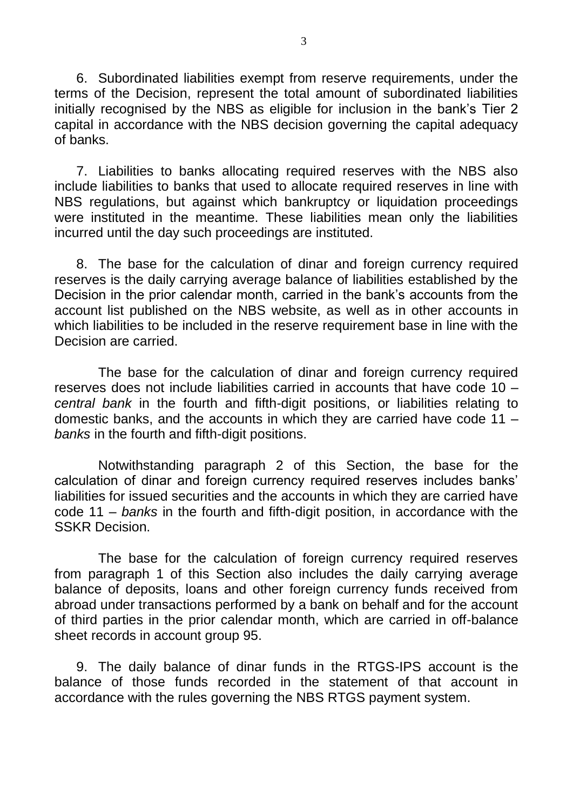6. Subordinated liabilities exempt from reserve requirements, under the terms of the Decision, represent the total amount of subordinated liabilities initially recognised by the NBS as eligible for inclusion in the bank's Tier 2 capital in accordance with the NBS decision governing the capital adequacy of banks.

7. Liabilities to banks allocating required reserves with the NBS also include liabilities to banks that used to allocate required reserves in line with NBS regulations, but against which bankruptcy or liquidation proceedings were instituted in the meantime. These liabilities mean only the liabilities incurred until the day such proceedings are instituted.

8. The base for the calculation of dinar and foreign currency required reserves is the daily carrying average balance of liabilities established by the Decision in the prior calendar month, carried in the bank's accounts from the account list published on the NBS website, as well as in other accounts in which liabilities to be included in the reserve requirement base in line with the Decision are carried.

The base for the calculation of dinar and foreign currency required reserves does not include liabilities carried in accounts that have code 10 – *central bank* in the fourth and fifth-digit positions, or liabilities relating to domestic banks, and the accounts in which they are carried have code 11 – *banks* in the fourth and fifth-digit positions.

Notwithstanding paragraph 2 of this Section, the base for the calculation of dinar and foreign currency required reserves includes banks' liabilities for issued securities and the accounts in which they are carried have code 11 – *banks* in the fourth and fifth-digit position, in accordance with the SSKR Decision.

The base for the calculation of foreign currency required reserves from paragraph 1 of this Section also includes the daily carrying average balance of deposits, loans and other foreign currency funds received from abroad under transactions performed by a bank on behalf and for the account of third parties in the prior calendar month, which are carried in off-balance sheet records in account group 95.

9. The daily balance of dinar funds in the RTGS-IPS account is the balance of those funds recorded in the statement of that account in accordance with the rules governing the NBS RTGS payment system.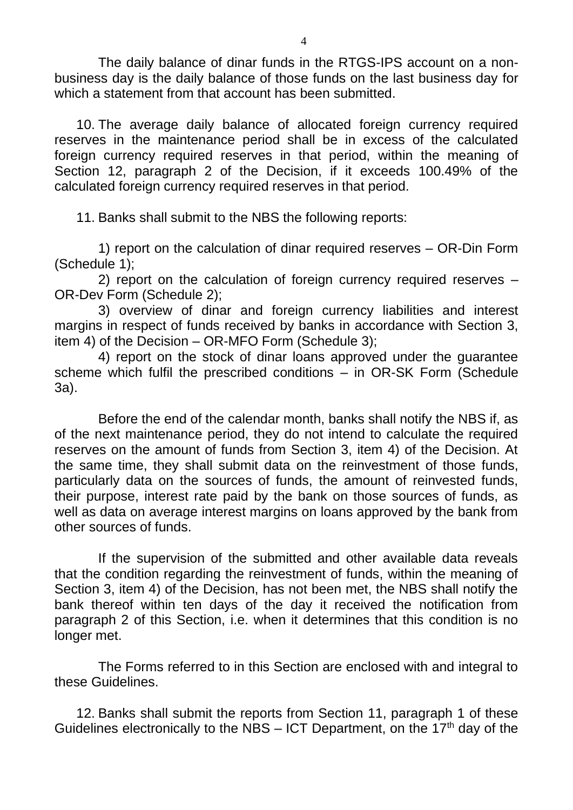The daily balance of dinar funds in the RTGS-IPS account on a nonbusiness day is the daily balance of those funds on the last business day for which a statement from that account has been submitted.

10. The average daily balance of allocated foreign currency required reserves in the maintenance period shall be in excess of the calculated foreign currency required reserves in that period, within the meaning of Section 12, paragraph 2 of the Decision, if it exceeds 100.49% of the calculated foreign currency required reserves in that period.

11. Banks shall submit to the NBS the following reports:

1) report on the calculation of dinar required reserves – OR-Din Form (Schedule 1);

2) report on the calculation of foreign currency required reserves – OR-Dev Form (Schedule 2);

3) overview of dinar and foreign currency liabilities and interest margins in respect of funds received by banks in accordance with Section 3, item 4) of the Decision – OR-MFO Form (Schedule 3);

4) report on the stock of dinar loans approved under the guarantee scheme which fulfil the prescribed conditions – in OR-SK Form (Schedule 3a).

Before the end of the calendar month, banks shall notify the NBS if, as of the next maintenance period, they do not intend to calculate the required reserves on the amount of funds from Section 3, item 4) of the Decision. At the same time, they shall submit data on the reinvestment of those funds, particularly data on the sources of funds, the amount of reinvested funds, their purpose, interest rate paid by the bank on those sources of funds, as well as data on average interest margins on loans approved by the bank from other sources of funds.

If the supervision of the submitted and other available data reveals that the condition regarding the reinvestment of funds, within the meaning of Section 3, item 4) of the Decision, has not been met, the NBS shall notify the bank thereof within ten days of the day it received the notification from paragraph 2 of this Section, i.e. when it determines that this condition is no longer met.

The Forms referred to in this Section are enclosed with and integral to these Guidelines.

12. Banks shall submit the reports from Section 11, paragraph 1 of these Guidelines electronically to the NBS – ICT Department, on the  $17<sup>th</sup>$  day of the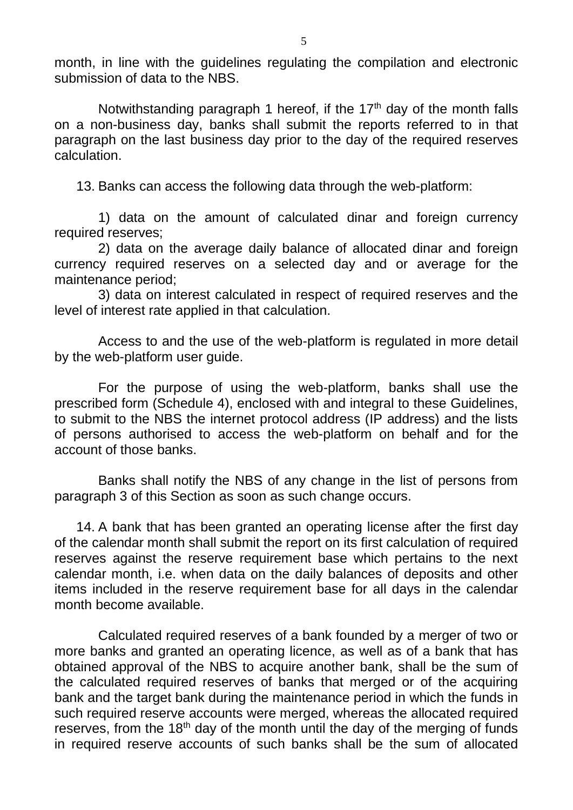month, in line with the guidelines regulating the compilation and electronic submission of data to the NBS.

Notwithstanding paragraph 1 hereof, if the  $17<sup>th</sup>$  day of the month falls on a non-business day, banks shall submit the reports referred to in that paragraph on the last business day prior to the day of the required reserves calculation.

13. Banks can access the following data through the web-platform:

1) data on the amount of calculated dinar and foreign currency required reserves;

2) data on the average daily balance of allocated dinar and foreign currency required reserves on a selected day and or average for the maintenance period;

3) data on interest calculated in respect of required reserves and the level of interest rate applied in that calculation.

Access to and the use of the web-platform is regulated in more detail by the web-platform user guide.

For the purpose of using the web-platform, banks shall use the prescribed form (Schedule 4), enclosed with and integral to these Guidelines, to submit to the NBS the internet protocol address (IP address) and the lists of persons authorised to access the web-platform on behalf and for the account of those banks.

Banks shall notify the NBS of any change in the list of persons from paragraph 3 of this Section as soon as such change occurs.

14. A bank that has been granted an operating license after the first day of the calendar month shall submit the report on its first calculation of required reserves against the reserve requirement base which pertains to the next calendar month, i.e. when data on the daily balances of deposits and other items included in the reserve requirement base for all days in the calendar month become available.

Calculated required reserves of a bank founded by a merger of two or more banks and granted an operating licence, as well as of a bank that has obtained approval of the NBS to acquire another bank, shall be the sum of the calculated required reserves of banks that merged or of the acquiring bank and the target bank during the maintenance period in which the funds in such required reserve accounts were merged, whereas the allocated required reserves, from the  $18<sup>th</sup>$  day of the month until the day of the merging of funds in required reserve accounts of such banks shall be the sum of allocated